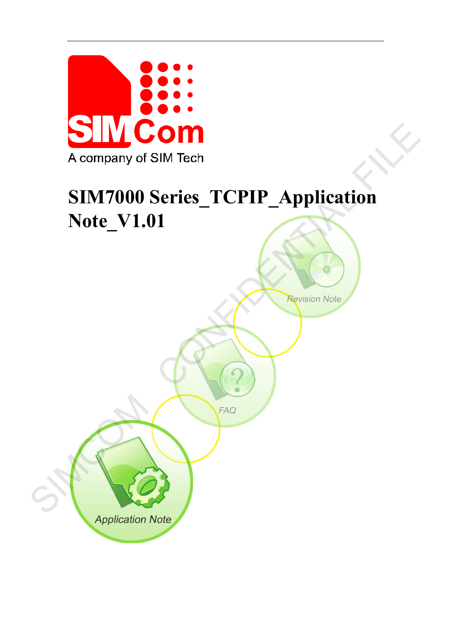

# **SIM7000 Series\_TCPIP\_Application Note\_V1.01**

A company of SIM Tech<br>
SIM7000 Series\_TCPIP\_Application<br>
Note\_V1.01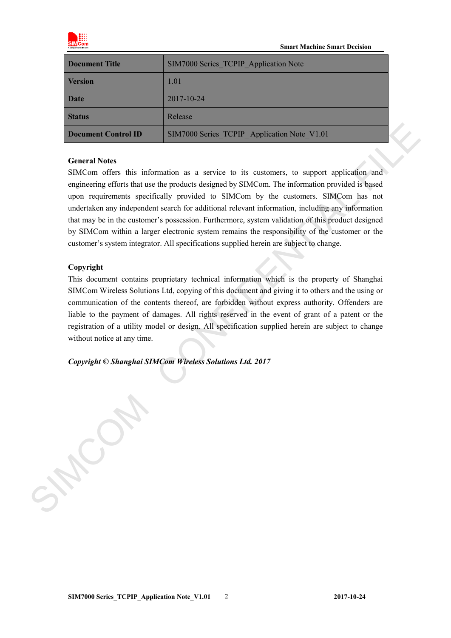

| Document Title      | SIM7000 Series TCPIP Application Note       |  |
|---------------------|---------------------------------------------|--|
| <b>Version</b>      | 1.01                                        |  |
| <b>Date</b>         | 2017-10-24                                  |  |
| <b>Status</b>       | Release                                     |  |
| Document Control ID | SIM7000 Series TCPIP Application Note V1.01 |  |

#### **General Notes**

SIMCom offers this information as a service to its customers, to support application and engineering efforts that use the products designed by SIMCom. The information provided is based upon requirements specifically provided to SIMCom by the customers. SIMCom has not undertaken any independent search for additional relevant information, including any information that may be in the customer's possession. Furthermore, system validation of this product designed by SIMCom within a larger electronic system remains the responsibility of the customer or the customer's system integrator. All specifications supplied herein are subject to change. **Decument Control ID**<br>
SIMCOM Scries TCPIP\_Application Note, V1.01<br>
General Notes<br>
SIMCom offers that information as a service to its customers, to support application and<br>
engineering efforts that are the protocol design

#### **Copyright**

This document contains proprietary technical information which is the property of Shanghai SIMCom Wireless Solutions Ltd, copying of this document and giving it to others and the using or communication of the contents thereof, are forbidden without express authority. Offenders are liable to the payment of damages. All rights reserved in the event of grant of a patent or the registration of a utility model or design. All specification supplied herein are subject to change without notice at any time.

*Copyright © Shanghai SIMCom Wireless Solutions Ltd. 2017*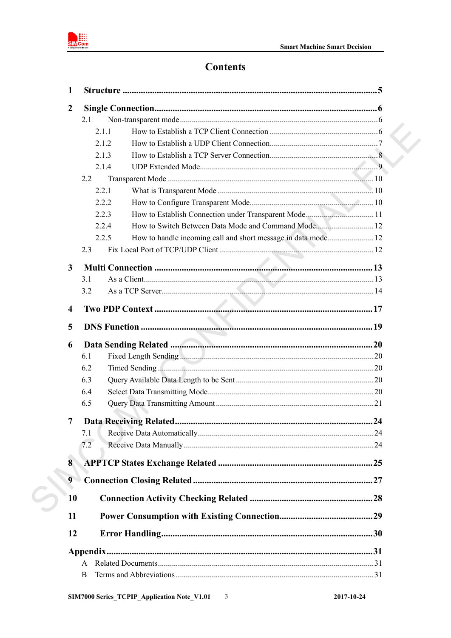

## **Contents**

| $\mathbf{1}$            |                                                              |  |
|-------------------------|--------------------------------------------------------------|--|
| $\boldsymbol{2}$        |                                                              |  |
|                         | 2.1                                                          |  |
|                         | 2.1.1                                                        |  |
|                         | 2.1.2                                                        |  |
|                         | 2.1.3                                                        |  |
|                         | 2.1.4                                                        |  |
|                         | 2.2                                                          |  |
|                         | 2.2.1                                                        |  |
|                         | 2.2.2                                                        |  |
|                         | 2.2.3                                                        |  |
|                         | How to Switch Between Data Mode and Command Mode 12<br>2.2.4 |  |
|                         | 2.2.5                                                        |  |
|                         | 2.3                                                          |  |
| 3                       |                                                              |  |
|                         | 3.1                                                          |  |
|                         | 3.2                                                          |  |
|                         |                                                              |  |
| $\overline{\mathbf{4}}$ |                                                              |  |
| 5                       |                                                              |  |
| 6                       |                                                              |  |
|                         | 6.1                                                          |  |
|                         | 6.2                                                          |  |
|                         | 6.3                                                          |  |
|                         | 6.4                                                          |  |
|                         | 6.5                                                          |  |
| 7                       |                                                              |  |
|                         | 7.1                                                          |  |
|                         | 7.2                                                          |  |
| 8                       |                                                              |  |
| 9                       |                                                              |  |
| 10                      |                                                              |  |
| 11                      |                                                              |  |
|                         |                                                              |  |
| 12                      |                                                              |  |
|                         |                                                              |  |
|                         | A                                                            |  |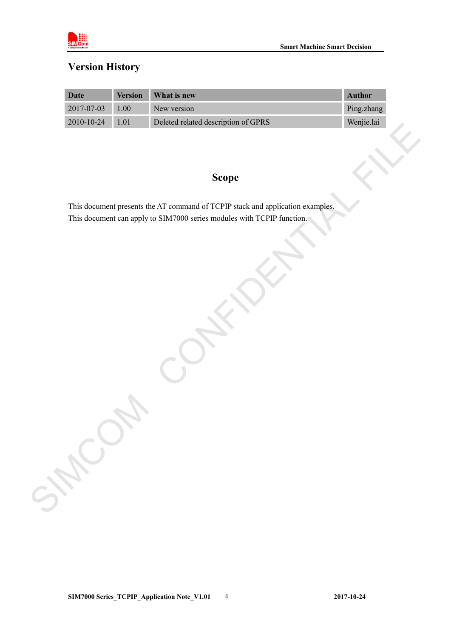

### **Version History**

| Date             | <b>Version</b> | <b>What is new</b>                  | Author     |
|------------------|----------------|-------------------------------------|------------|
| $2017 - 07 - 03$ | 1.00           | New version                         | Ping.zhang |
| 2010-10-24       | 1 0 1          | Deleted related description of GPRS | Wenjie.lai |

### **Scope**

This document presents the AT command of TCPIP stack and application examples. This document can apply to SIM7000 series modules with TCPIP function. SCOPE<br>
This document presents the AT command of TCPP stack and application examples.<br>
This document can apply to STM7000 struct and application examples.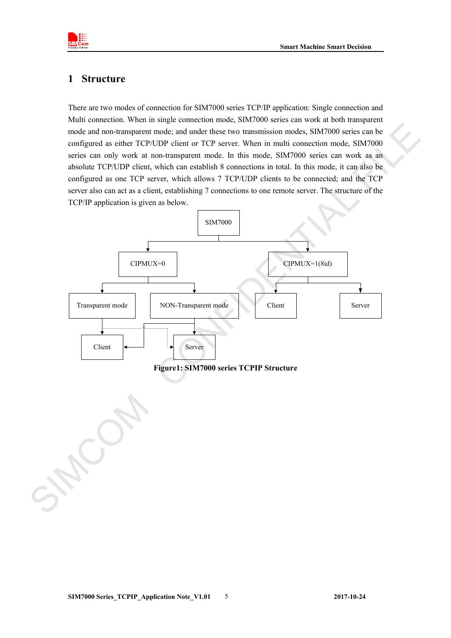

### <span id="page-4-0"></span>**1 Structure**

There are two modes of connection for SIM7000 series TCP/IP application: Single connection and Multi connection. When in single connection mode, SIM7000 series can work at both transparent mode and non-transparent mode; and under these two transmission modes, SIM7000 series can be configured as either TCP/UDP client or TCP server. When in multi connection mode, SIM7000 series can only work at non-transparent mode. In this mode, SIM7000 series can work as an absolute TCP/UDP client, which can establish 8 connections in total. In this mode, it can also be configured as one TCP server, which allows 7 TCP/UDP clients to be connected; and the TCP server also can act as a client, establishing 7 connections to one remote server. The structure of the TCP/IP application is given as below.

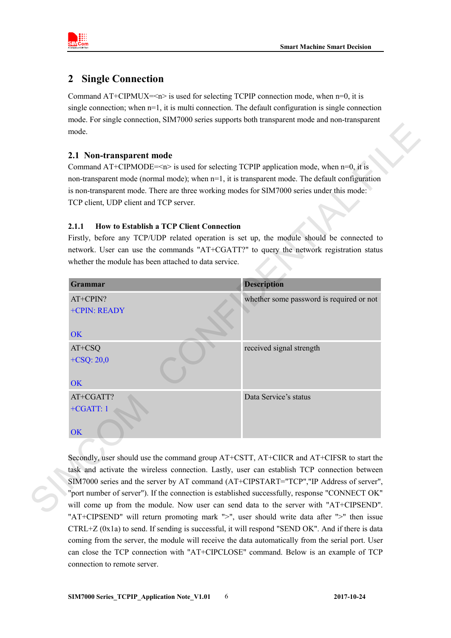

### <span id="page-5-0"></span>**2 Single Connection**

Command  $AT+CIPMUX=<1>$  is used for selecting TCPIP connection mode, when  $n=0$ , it is single connection; when  $n=1$ , it is multi connection. The default configuration is single connection mode. For single connection, SIM7000 series supports both transparent mode and non-transparent mode.

### <span id="page-5-1"></span>**2.1 Non-transparent mode**

Command AT+CIPMODE= $\leq n$ > is used for selecting TCPIP application mode, when  $n=0$ , it is non-transparent mode (normal mode); when  $n=1$ , it is transparent mode. The default configuration is non-transparent mode. There are three working modes for SIM7000 series under this mode: TCP client, UDP client and TCP server.

### <span id="page-5-2"></span>**2.1.1 How to Establish a TCP Client Connection**

Firstly, before any TCP/UDP related operation is set up, the module should be connected to network. User can use the commands "AT+CGATT?" to query the network registration status whether the module has been attached to data service.



Secondly, user should use the command group AT+CSTT, AT+CIICR and AT+CIFSR to start the task and activate the wireless connection. Lastly, user can establish TCP connection between SIM7000 series and the server by AT command (AT+CIPSTART="TCP","IP Address of server", "port number of server"). If the connection is established successfully, response "CONNECT OK" will come up from the module. Now user can send data to the server with "AT+CIPSEND". "AT+CIPSEND" will return promoting mark ">", user should write data after ">" then issue CTRL+Z (0x1a) to send. If sending is successful, it will respond "SEND OK". And if there is data coming from the server, the module will receive the data automatically from the serial port. User can close the TCP connection with "AT+CIPCLOSE" command. Below is an example of TCP connection to remote server.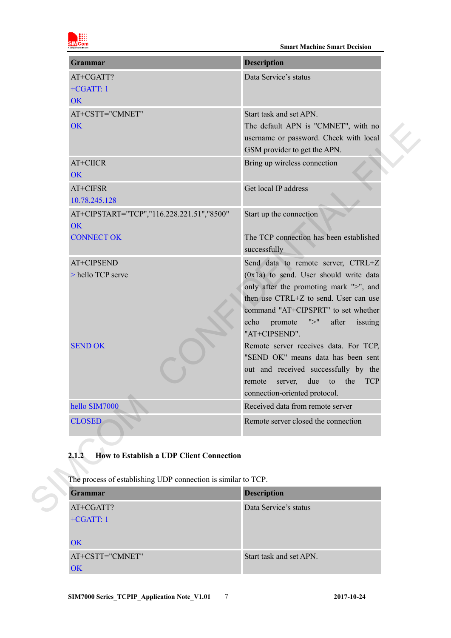

| Grammar                                                       | <b>Description</b>                                  |
|---------------------------------------------------------------|-----------------------------------------------------|
| AT+CGATT?                                                     | Data Service's status                               |
| $+CGATT:1$                                                    |                                                     |
| <b>OK</b>                                                     |                                                     |
| AT+CSTT="CMNET"                                               | Start task and set APN.                             |
| OK                                                            | The default APN is "CMNET", with no                 |
|                                                               | username or password. Check with local              |
| AT+CIICR                                                      | GSM provider to get the APN.                        |
| <b>OK</b>                                                     | Bring up wireless connection                        |
|                                                               | Get local IP address                                |
| AT+CIFSR<br>10.78.245.128                                     |                                                     |
|                                                               |                                                     |
| AT+CIPSTART="TCP","116.228.221.51","8500"<br><b>OK</b>        | Start up the connection                             |
| <b>CONNECT OK</b>                                             | The TCP connection has been established             |
|                                                               | successfully                                        |
| AT+CIPSEND                                                    | Send data to remote server, CTRL+Z                  |
| > hello TCP serve                                             | $(0x1a)$ to send. User should write data            |
|                                                               | only after the promoting mark ">", and              |
|                                                               | then use CTRL+Z to send. User can use               |
|                                                               | command "AT+CIPSPRT" to set whether                 |
|                                                               | ">'<br>after<br>echo<br>promote<br>issuing          |
|                                                               | "AT+CIPSEND".                                       |
| <b>SEND OK</b>                                                | Remote server receives data. For TCP,               |
|                                                               | "SEND OK" means data has been sent                  |
|                                                               | out and received successfully by the                |
|                                                               | due<br>the<br><b>TCP</b><br>remote<br>server,<br>to |
|                                                               | connection-oriented protocol.                       |
| hello SIM7000                                                 | Received data from remote server                    |
| <b>CLOSED</b>                                                 | Remote server closed the connection                 |
|                                                               |                                                     |
| <b>How to Establish a UDP Client Connection</b><br>2.1.2      |                                                     |
|                                                               |                                                     |
| The process of establishing UDP connection is similar to TCP. |                                                     |
|                                                               |                                                     |
| Grammar                                                       | <b>Description</b>                                  |

### <span id="page-6-0"></span>**2.1.2 How to Establish a UDP Client Connection**

| <b>Grammar</b>  | <b>Description</b>      |
|-----------------|-------------------------|
| AT+CGATT?       | Data Service's status   |
| $+CGATT:1$      |                         |
|                 |                         |
| <b>OK</b>       |                         |
| AT+CSTT="CMNET" | Start task and set APN. |
| OK              |                         |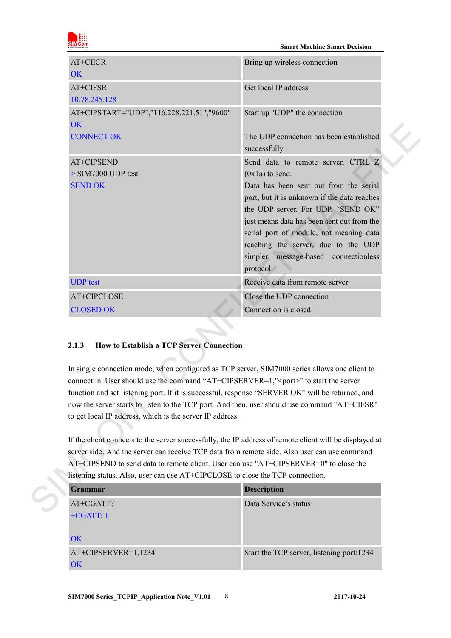

| OK                                                                                                                                                                                                                                                                                                                                                                                                                                                                                                                            | Bring up wireless connection                                                                                                                                                                                                                                                                                                                                                |
|-------------------------------------------------------------------------------------------------------------------------------------------------------------------------------------------------------------------------------------------------------------------------------------------------------------------------------------------------------------------------------------------------------------------------------------------------------------------------------------------------------------------------------|-----------------------------------------------------------------------------------------------------------------------------------------------------------------------------------------------------------------------------------------------------------------------------------------------------------------------------------------------------------------------------|
| AT+CIFSR<br>10.78.245.128                                                                                                                                                                                                                                                                                                                                                                                                                                                                                                     | Get local IP address                                                                                                                                                                                                                                                                                                                                                        |
| AT+CIPSTART="UDP","116.228.221.51","9600"<br><b>OK</b>                                                                                                                                                                                                                                                                                                                                                                                                                                                                        | Start up "UDP" the connection                                                                                                                                                                                                                                                                                                                                               |
| <b>CONNECT OK</b>                                                                                                                                                                                                                                                                                                                                                                                                                                                                                                             | The UDP connection has been established<br>successfully                                                                                                                                                                                                                                                                                                                     |
| AT+CIPSEND<br>$>$ SIM7000 UDP test<br><b>SEND OK</b>                                                                                                                                                                                                                                                                                                                                                                                                                                                                          | Send data to remote server, CTRL+Z<br>$(0x1a)$ to send.<br>Data has been sent out from the serial<br>port, but it is unknown if the data reaches<br>the UDP server. For UDP, "SEND OK"<br>just means data has been sent out from the<br>serial port of module, not meaning data<br>reaching the server, due to the UDP<br>simpler message-based connectionless<br>protocol. |
| <b>UDP</b> test                                                                                                                                                                                                                                                                                                                                                                                                                                                                                                               | Receive data from remote server                                                                                                                                                                                                                                                                                                                                             |
|                                                                                                                                                                                                                                                                                                                                                                                                                                                                                                                               | Close the UDP connection                                                                                                                                                                                                                                                                                                                                                    |
| AT+CIPCLOSE                                                                                                                                                                                                                                                                                                                                                                                                                                                                                                                   |                                                                                                                                                                                                                                                                                                                                                                             |
| <b>CLOSED OK</b>                                                                                                                                                                                                                                                                                                                                                                                                                                                                                                              | Connection is closed                                                                                                                                                                                                                                                                                                                                                        |
| <b>How to Establish a TCP Server Connection</b><br>2.1.3<br>In single connection mode, when configured as TCP server, SIM7000 series allows one client to<br>connect in. User should use the command "AT+CIPSERVER=1," <port>" to start the server<br/>function and set listening port. If it is successful, response "SERVER OK" will be returned, and<br/>now the server starts to listen to the TCP port. And then, user should use command "AT+CIFSR"<br/>to get local IP address, which is the server IP address.</port> |                                                                                                                                                                                                                                                                                                                                                                             |
| If the client connects to the server successfully, the IP address of remote client will be displayed at<br>server side. And the server can receive TCP data from remote side. Also user can use command<br>AT+CIPSEND to send data to remote client. User can use "AT+CIPSERVER=0" to close the<br>listening status. Also, user can use AT+CIPCLOSE to close the TCP connection.                                                                                                                                              |                                                                                                                                                                                                                                                                                                                                                                             |
| <b>Grammar</b>                                                                                                                                                                                                                                                                                                                                                                                                                                                                                                                | <b>Description</b>                                                                                                                                                                                                                                                                                                                                                          |
| AT+CGATT?                                                                                                                                                                                                                                                                                                                                                                                                                                                                                                                     | Data Service's status                                                                                                                                                                                                                                                                                                                                                       |

#### <span id="page-7-0"></span>**2.1.3 How to Establish a TCP Server Connection**

| Grammar             | <b>Description</b>                        |
|---------------------|-------------------------------------------|
| AT+CGATT?           | Data Service's status                     |
| $+CGATT:1$          |                                           |
|                     |                                           |
| OK                  |                                           |
| AT+CIPSERVER=1,1234 | Start the TCP server, listening port:1234 |
| OK                  |                                           |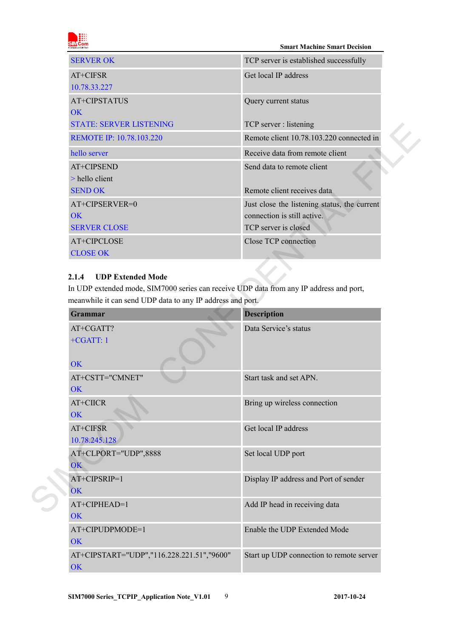|                       |  | om |  |
|-----------------------|--|----|--|
|                       |  |    |  |
| A company of SIM Tech |  |    |  |
|                       |  |    |  |

| <b>SERVER OK</b>               | TCP server is established successfully       |
|--------------------------------|----------------------------------------------|
| $AT+CIFSR$                     | Get local IP address                         |
| 10.78.33.227                   |                                              |
| AT+CIPSTATUS                   | Query current status                         |
| OK                             |                                              |
| <b>STATE: SERVER LISTENING</b> | TCP server : listening                       |
| REMOTE IP: 10.78.103.220       | Remote client 10.78.103.220 connected in     |
| hello server                   | Receive data from remote client              |
| AT+CIPSEND                     | Send data to remote client                   |
| $>$ hello client               |                                              |
| <b>SEND OK</b>                 | Remote client receives data                  |
| AT+CIPSERVER=0                 | Just close the listening status, the current |
| OK                             | connection is still active.                  |
| <b>SERVER CLOSE</b>            | TCP server is closed                         |
| AT+CIPCLOSE                    | Close TCP connection                         |
| <b>CLOSE OK</b>                |                                              |

### <span id="page-8-0"></span>**2.1.4 UDP Extended Mode**

|                                                                                         | TCP server : listening                       |
|-----------------------------------------------------------------------------------------|----------------------------------------------|
| REMOTE IP: 10.78.103.220                                                                | Remote client 10.78.103.220 connected in     |
| hello server                                                                            | Receive data from remote client              |
| AT+CIPSEND                                                                              | Send data to remote client                   |
| > hello client                                                                          |                                              |
| <b>SEND OK</b>                                                                          | Remote client receives data                  |
| AT+CIPSERVER=0                                                                          | Just close the listening status, the current |
| <b>OK</b>                                                                               | connection is still active.                  |
| <b>SERVER CLOSE</b>                                                                     | TCP server is closed                         |
| AT+CIPCLOSE                                                                             | Close TCP connection                         |
| <b>CLOSE OK</b>                                                                         |                                              |
|                                                                                         |                                              |
| <b>UDP Extended Mode</b><br>2.1.4                                                       |                                              |
| In UDP extended mode, SIM7000 series can receive UDP data from any IP address and port, |                                              |
| meanwhile it can send UDP data to any IP address and port.                              |                                              |
| <b>Grammar</b>                                                                          | <b>Description</b>                           |
| AT+CGATT?                                                                               | Data Service's status                        |
| $+CGATT:1$                                                                              |                                              |
|                                                                                         |                                              |
| <b>OK</b>                                                                               |                                              |
| AT+CSTT="CMNET"                                                                         | Start task and set APN.                      |
|                                                                                         |                                              |
| <b>OK</b>                                                                               |                                              |
| AT+CIICR                                                                                | Bring up wireless connection                 |
| <b>OK</b>                                                                               |                                              |
| AT+CIFSR                                                                                | Get local IP address                         |
| 10.78.245.128                                                                           |                                              |
| AT+CLPORT="UDP",8888                                                                    | Set local UDP port                           |
| OK                                                                                      |                                              |
| AT+CIPSRIP=1                                                                            | Display IP address and Port of sender        |
| OK                                                                                      |                                              |
| AT+CIPHEAD=1                                                                            | Add IP head in receiving data                |
| OK                                                                                      |                                              |
| AT+CIPUDPMODE=1                                                                         | Enable the UDP Extended Mode                 |
| OK                                                                                      |                                              |
| AT+CIPSTART="UDP","116.228.221.51","9600"<br>OK                                         | Start up UDP connection to remote server     |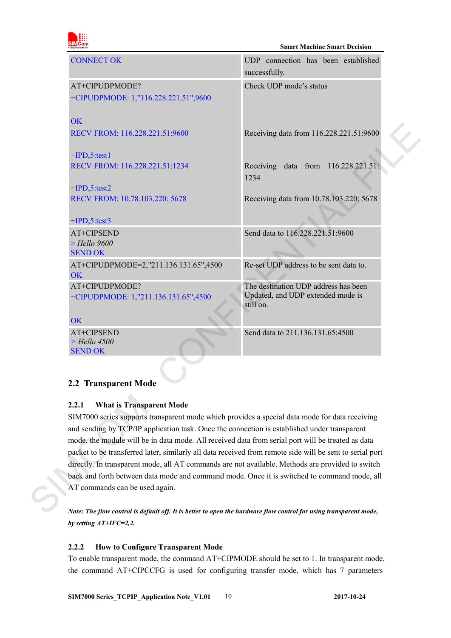| om<br>A company of SIM Tech |
|-----------------------------|

| <b>CONNECT OK</b>                                                                                                                                                                              | UDP connection has been established<br>successfully.                                   |
|------------------------------------------------------------------------------------------------------------------------------------------------------------------------------------------------|----------------------------------------------------------------------------------------|
| AT+CIPUDPMODE?                                                                                                                                                                                 | Check UDP mode's status                                                                |
| +CIPUDPMODE: 1,"116.228.221.51",9600                                                                                                                                                           |                                                                                        |
| <b>OK</b>                                                                                                                                                                                      |                                                                                        |
| RECV FROM: 116.228.221.51:9600                                                                                                                                                                 | Receiving data from 116.228.221.51:9600                                                |
| $+IPD, 5$ :test1                                                                                                                                                                               |                                                                                        |
| RECV FROM: 116.228.221.51:1234                                                                                                                                                                 | Receiving data from 116.228.221.51:<br>1234                                            |
| $+IPD, 5$ : test2                                                                                                                                                                              |                                                                                        |
| RECV FROM: 10.78.103.220: 5678                                                                                                                                                                 | Receiving data from 10.78.103.220: 5678                                                |
| $+IPD, 5$ : test3                                                                                                                                                                              |                                                                                        |
| AT+CIPSEND                                                                                                                                                                                     | Send data to 116.228.221.51:9600                                                       |
| $>$ Hello 9600<br><b>SEND OK</b>                                                                                                                                                               |                                                                                        |
| AT+CIPUDPMODE=2,"211.136.131.65",4500<br>OK                                                                                                                                                    | Re-set UDP address to be sent data to.                                                 |
| AT+CIPUDPMODE?<br>+CIPUDPMODE: 1,"211.136.131.65",4500                                                                                                                                         | The destination UDP address has been<br>Updated, and UDP extended mode is<br>still on. |
| <b>OK</b>                                                                                                                                                                                      |                                                                                        |
| AT+CIPSEND<br>$>$ Hello 4500<br><b>SEND OK</b>                                                                                                                                                 | Send data to 211.136.131.65:4500                                                       |
| 2.2 Transparent Mode                                                                                                                                                                           |                                                                                        |
| 2.2.1<br><b>What is Transparent Mode</b>                                                                                                                                                       |                                                                                        |
| SIM7000 series supports transparent mode which provides a special data mode for data receiving<br>and sending by TCP/IP application task. Once the connection is established under transparent |                                                                                        |
| mode, the module will be in data mode. All received data from serial port will be treated as data                                                                                              |                                                                                        |
| packet to be transferred later, similarly all data received from remote side will be sent to serial port                                                                                       |                                                                                        |
| directly. In transparent mode, all AT commands are not available. Methods are provided to switch                                                                                               |                                                                                        |
| back and forth between data mode and command mode. Once it is switched to command mode, all                                                                                                    |                                                                                        |
| AT commands can be used again.                                                                                                                                                                 |                                                                                        |
| Note: The flow control is default off. It is better to open the hardware flow control for using transparent mode,                                                                              |                                                                                        |

### <span id="page-9-0"></span>**2.2 Transparent Mode**

### <span id="page-9-1"></span>**2.2.1 What is Transparent Mode**

*Note: The flow control is default off. It is better to open the hardware flow control for using transparent mode, by setting AT+IFC=2,2.*

#### <span id="page-9-2"></span>**2.2.2 How to Configure Transparent Mode**

To enable transparent mode, the command AT+CIPMODE should be set to 1. In transparent mode, the command AT+CIPCCFG is used for configuring transfer mode, which has 7 parameters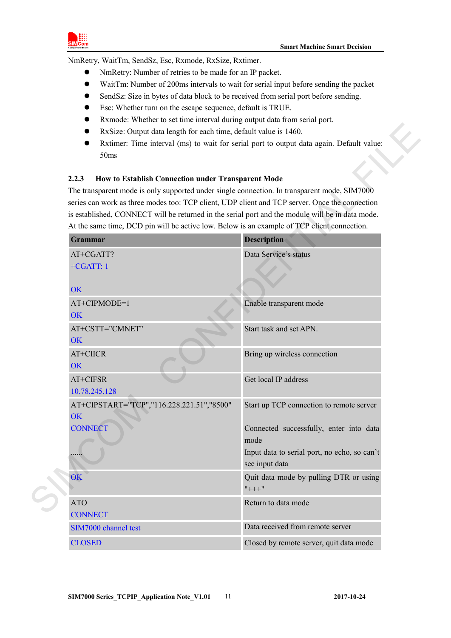

NmRetry, WaitTm, SendSz, Esc, Rxmode, RxSize, Rxtimer.

- NmRetry: Number of retries to be made for an IP packet.
- WaitTm: Number of 200ms intervals to wait for serial input before sending the packet
- SendSz: Size in bytes of data block to be received from serial port before sending.
- Esc: Whether turn on the escape sequence, default is TRUE.
- Rxmode: Whether to set time interval during output data from serial port.
- RxSize: Output data length for each time, default value is 1460.
- Rxtimer: Time interval (ms) to wait for serial port to output data again. Default value: 50ms

#### <span id="page-10-0"></span>**2.2.3 How to Establish Connection under Transparent Mode**

| RxSize: Output data length for each time, default value is 1460.<br>Rxtimer: Time interval (ms) to wait for serial port to output data again. Default value:<br>50ms                                                                                                                                                                                                                                                                                             |                                                                |
|------------------------------------------------------------------------------------------------------------------------------------------------------------------------------------------------------------------------------------------------------------------------------------------------------------------------------------------------------------------------------------------------------------------------------------------------------------------|----------------------------------------------------------------|
| 2.2.3<br>How to Establish Connection under Transparent Mode<br>The transparent mode is only supported under single connection. In transparent mode, SIM7000<br>series can work as three modes too: TCP client, UDP client and TCP server. Once the connection<br>is established, CONNECT will be returned in the serial port and the module will be in data mode.<br>At the same time, DCD pin will be active low. Below is an example of TCP client connection. |                                                                |
| Grammar                                                                                                                                                                                                                                                                                                                                                                                                                                                          | Description                                                    |
| AT+CGATT?<br>$+CGATT:1$                                                                                                                                                                                                                                                                                                                                                                                                                                          | Data Service's status                                          |
| <b>OK</b>                                                                                                                                                                                                                                                                                                                                                                                                                                                        |                                                                |
| AT+CIPMODE=1<br>OK                                                                                                                                                                                                                                                                                                                                                                                                                                               | Enable transparent mode                                        |
| AT+CSTT="CMNET"<br><b>OK</b>                                                                                                                                                                                                                                                                                                                                                                                                                                     | Start task and set APN.                                        |
| AT+CIICR<br><b>OK</b>                                                                                                                                                                                                                                                                                                                                                                                                                                            | Bring up wireless connection                                   |
| AT+CIFSR<br>10.78.245.128                                                                                                                                                                                                                                                                                                                                                                                                                                        | Get local IP address                                           |
| AT+CIPSTART="TCP","116.228.221.51","8500"<br>OK                                                                                                                                                                                                                                                                                                                                                                                                                  | Start up TCP connection to remote server                       |
| <b>CONNECT</b>                                                                                                                                                                                                                                                                                                                                                                                                                                                   | Connected successfully, enter into data<br>mode                |
|                                                                                                                                                                                                                                                                                                                                                                                                                                                                  | Input data to serial port, no echo, so can't<br>see input data |
| OK                                                                                                                                                                                                                                                                                                                                                                                                                                                               | Quit data mode by pulling DTR or using<br>$"+++"$              |
| <b>ATO</b><br><b>CONNECT</b>                                                                                                                                                                                                                                                                                                                                                                                                                                     | Return to data mode                                            |
| SIM7000 channel test                                                                                                                                                                                                                                                                                                                                                                                                                                             | Data received from remote server                               |
| <b>CLOSED</b>                                                                                                                                                                                                                                                                                                                                                                                                                                                    | Closed by remote server, quit data mode                        |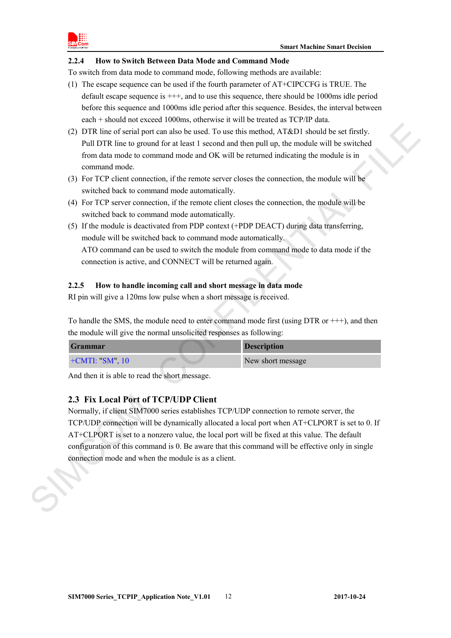

#### <span id="page-11-0"></span>**2.2.4 How to Switch Between Data Mode and Command Mode**

To switch from data mode to command mode, following methods are available:

- (1) The escape sequence can be used if the fourth parameter of AT+CIPCCFG is TRUE. The default escape sequence is  $+++$ , and to use this sequence, there should be 1000ms idle period before this sequence and 1000ms idle period after this sequence. Besides, the interval between each + should not exceed 1000ms, otherwise it will be treated as TCP/IP data.
- (2) DTR line of serial port can also be used. To use this method, AT&D1 should be set firstly. Pull DTR line to ground for at least 1 second and then pull up, the module will be switched from data mode to command mode and OK will be returned indicating the module is in command mode.
- (3) For TCP client connection, if the remote server closes the connection, the module will be switched back to command mode automatically.
- (4) For TCP server connection, if the remote client closes the connection, the module will be switched back to command mode automatically.
- (5) If the module is deactivated from PDP context (+PDP DEACT) during data transferring, module will be switched back to command mode automatically. ATO command can be used to switch the module from command mode to data mode if the connection is active, and CONNECT will be returned again.

#### <span id="page-11-1"></span>**2.2.5 How to handle incoming call and short message in data mode**

RI pin will give a 120ms low pulse when a short message is received.

To handle the SMS, the module need to enter command mode first (using DTR or +++), and then the module will give the normal unsolicited responses as following:

| <b>Grammar</b>     | <b>Description</b> |  |
|--------------------|--------------------|--|
| $+$ CMTI: "SM", 10 | New short message  |  |

And then it is able to read the short message.

### <span id="page-11-2"></span>**2.3 Fix Local Port of TCP/UDP Client**

Normally, if client SIM7000 series establishes TCP/UDP connection to remote server, the TCP/UDP connection will be dynamically allocated a local port when AT+CLPORT is set to 0. If AT+CLPORT is set to a nonzero value, the local port will be fixed at this value. The default configuration of this command is 0. Be aware that this command will be effective only in single connection mode and when the module is as a client. (2) DIR line of sental por can also be used. To use this method, AT(82)) aboutd be set firstly,<br>PuID TRE line to ground for a least 1 s use this method, AT(82)) aboutd be self-infly<br>from data mode to command rande and OK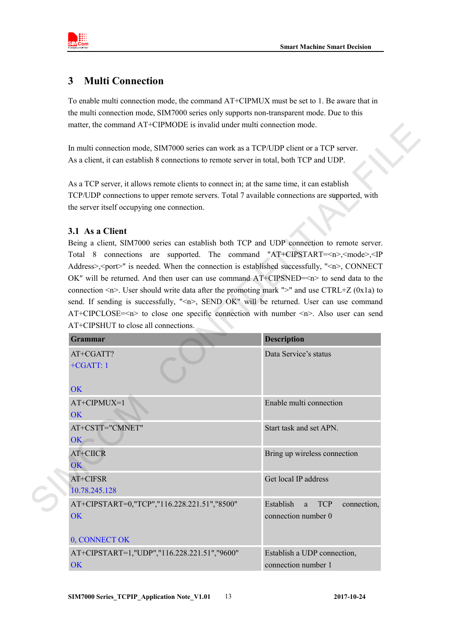

### <span id="page-12-0"></span>**3 Multi Connection**

To enable multi connection mode, the command AT+CIPMUX must be set to 1. Be aware that in the multi connection mode, SIM7000 series only supports non-transparent mode. Due to this matter, the command AT+CIPMODE is invalid under multi connection mode.

### <span id="page-12-1"></span>**3.1 As a Client**

| matter, the command AT+CIPMODE is invalid under multi connection mode.                                                                                                                                                                                                                                                                                                                                                                                                                                                                                                                                                                                                                                                                                                                                  |                                                                               |
|---------------------------------------------------------------------------------------------------------------------------------------------------------------------------------------------------------------------------------------------------------------------------------------------------------------------------------------------------------------------------------------------------------------------------------------------------------------------------------------------------------------------------------------------------------------------------------------------------------------------------------------------------------------------------------------------------------------------------------------------------------------------------------------------------------|-------------------------------------------------------------------------------|
| In multi connection mode, SIM7000 series can work as a TCP/UDP client or a TCP server.                                                                                                                                                                                                                                                                                                                                                                                                                                                                                                                                                                                                                                                                                                                  |                                                                               |
| As a client, it can establish 8 connections to remote server in total, both TCP and UDP.                                                                                                                                                                                                                                                                                                                                                                                                                                                                                                                                                                                                                                                                                                                |                                                                               |
| As a TCP server, it allows remote clients to connect in; at the same time, it can establish<br>TCP/UDP connections to upper remote servers. Total 7 available connections are supported, with<br>the server itself occupying one connection.                                                                                                                                                                                                                                                                                                                                                                                                                                                                                                                                                            |                                                                               |
| 3.1 As a Client                                                                                                                                                                                                                                                                                                                                                                                                                                                                                                                                                                                                                                                                                                                                                                                         |                                                                               |
| Being a client, SIM7000 series can establish both TCP and UDP connection to remote server.<br>Total 8 connections are supported. The command "AT+CIPSTART= <n>,<mode>,<ip<br>Address&gt;,<port>" is needed. When the connection is established successfully, "<n>, CONNECT<br/>OK" will be returned. And then user can use command <math>AT+CIPSNED=\langle n \rangle</math> to send data to the<br/>connection <math>\langle n \rangle</math>. User should write data after the promoting mark "&gt;" and use CTRL+Z (0x1a) to<br/>send. If sending is successfully, "<n>, SEND OK" will be returned. User can use command<br/>AT+CIPCLOSE=<n> to close one specific connection with number <n>. Also user can send<br/>AT+CIPSHUT to close all connections.</n></n></n></n></port></ip<br></mode></n> |                                                                               |
| Grammar                                                                                                                                                                                                                                                                                                                                                                                                                                                                                                                                                                                                                                                                                                                                                                                                 | <b>Description</b>                                                            |
| AT+CGATT?<br>$+CGATT:1$                                                                                                                                                                                                                                                                                                                                                                                                                                                                                                                                                                                                                                                                                                                                                                                 | Data Service's status                                                         |
| <b>OK</b><br>AT+CIPMUX=1                                                                                                                                                                                                                                                                                                                                                                                                                                                                                                                                                                                                                                                                                                                                                                                | Enable multi connection                                                       |
| <b>OK</b>                                                                                                                                                                                                                                                                                                                                                                                                                                                                                                                                                                                                                                                                                                                                                                                               |                                                                               |
| AT+CSTT="CMNET"<br>$OK$ $\frown$                                                                                                                                                                                                                                                                                                                                                                                                                                                                                                                                                                                                                                                                                                                                                                        | Start task and set APN.                                                       |
| AT+CIICR<br><b>OK</b>                                                                                                                                                                                                                                                                                                                                                                                                                                                                                                                                                                                                                                                                                                                                                                                   | Bring up wireless connection                                                  |
| AT+CIFSR<br>10.78.245.128                                                                                                                                                                                                                                                                                                                                                                                                                                                                                                                                                                                                                                                                                                                                                                               | Get local IP address                                                          |
| AT+CIPSTART=0,"TCP","116.228.221.51","8500"<br>OK                                                                                                                                                                                                                                                                                                                                                                                                                                                                                                                                                                                                                                                                                                                                                       | Establish<br><b>TCP</b><br>connection,<br><sub>a</sub><br>connection number 0 |
| 0, CONNECT OK                                                                                                                                                                                                                                                                                                                                                                                                                                                                                                                                                                                                                                                                                                                                                                                           |                                                                               |
| AT+CIPSTART=1,"UDP","116.228.221.51","9600"<br>OK                                                                                                                                                                                                                                                                                                                                                                                                                                                                                                                                                                                                                                                                                                                                                       | Establish a UDP connection,<br>connection number 1                            |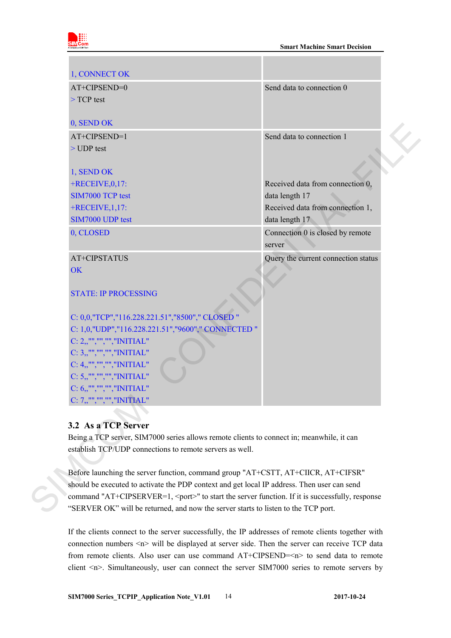

| 1, CONNECT OK                                                                                         |                                            |
|-------------------------------------------------------------------------------------------------------|--------------------------------------------|
| AT+CIPSEND=0                                                                                          | Send data to connection 0                  |
| $>$ TCP test                                                                                          |                                            |
| 0, SEND OK                                                                                            |                                            |
| AT+CIPSEND=1                                                                                          | Send data to connection 1                  |
| $>$ UDP test                                                                                          |                                            |
| 1, SEND OK                                                                                            |                                            |
| $+$ RECEIVE, 0, 17:                                                                                   | Received data from connection 0,           |
| SIM7000 TCP test                                                                                      | data length 17                             |
| $+$ RECEIVE, 1, 17:                                                                                   | Received data from connection 1,           |
| SIM7000 UDP test                                                                                      | data length 17                             |
| 0, CLOSED                                                                                             | Connection 0 is closed by remote<br>server |
| AT+CIPSTATUS                                                                                          | Query the current connection status        |
| <b>OK</b>                                                                                             |                                            |
| <b>STATE: IP PROCESSING</b>                                                                           |                                            |
| C: 0,0,"TCP","116.228.221.51","8500"," CLOSED "                                                       |                                            |
| C: 1,0,"UDP","116.228.221.51","9600"," CONNECTED "                                                    |                                            |
| C: 2,,"","","","INITIAL"                                                                              |                                            |
| $C: 3,$ ,"","","","INITIAL"                                                                           |                                            |
| $C: 4,$ ,"","","","INITIAL"                                                                           |                                            |
| C: 5,,"","","","INITIAL"                                                                              |                                            |
| C: 6,,"","","","INITIAL"                                                                              |                                            |
| C: 7,,"","","","INITIAL"                                                                              |                                            |
|                                                                                                       |                                            |
| 3.2 As a TCP Server                                                                                   |                                            |
| Being a TCP server, SIM7000 series allows remote clients to connect in; meanwhile, it can             |                                            |
| establish TCP/UDP connections to remote servers as well.                                              |                                            |
|                                                                                                       |                                            |
| Before launching the server function, command group "AT+CSTT, AT+CIICR, AT+CIFSR"                     |                                            |
| should be executed to activate the PDP context and get local IP address. Then user can send           |                                            |
| command "AT+CIPSERVER=1, <port>" to start the server function. If it is successfully, response</port> |                                            |
| "SERVER OK" will be returned, and now the server starts to listen to the TCP port.                    |                                            |

### <span id="page-13-0"></span>**3.2 As a TCP Server**

If the clients connect to the server successfully, the IP addresses of remote clients together with connection numbers  $\leq n$  will be displayed at server side. Then the server can receive TCP data from remote clients. Also user can use command AT+CIPSEND=<n> to send data to remote client <n>. Simultaneously, user can connect the server SIM7000 series to remote servers by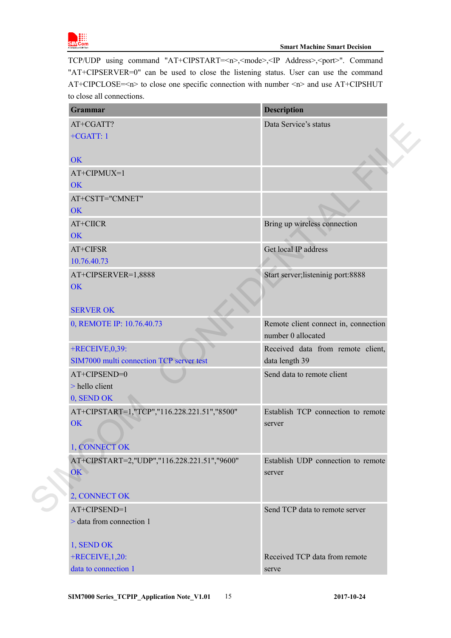

TCP/UDP using command "AT+CIPSTART=<n>,<mode>,<IP Address>,<port>". Command "AT+CIPSERVER=0" can be used to close the listening status. User can use the command AT+CIPCLOSE=<n> to close one specific connection with number <n> and use AT+CIPSHUT to close all connections.

| <b>Grammar</b>                                              | <b>Description</b>                                         |  |
|-------------------------------------------------------------|------------------------------------------------------------|--|
| AT+CGATT?                                                   | Data Service's status                                      |  |
| $+CGATT:1$                                                  |                                                            |  |
| <b>OK</b>                                                   |                                                            |  |
| AT+CIPMUX=1                                                 |                                                            |  |
| <b>OK</b>                                                   |                                                            |  |
| AT+CSTT="CMNET"                                             |                                                            |  |
| <b>OK</b>                                                   |                                                            |  |
| AT+CIICR                                                    | Bring up wireless connection                               |  |
| <b>OK</b>                                                   |                                                            |  |
| AT+CIFSR                                                    | Get local IP address                                       |  |
| 10.76.40.73                                                 |                                                            |  |
| AT+CIPSERVER=1,8888                                         | Start server; listeninig port: 8888                        |  |
| <b>OK</b>                                                   |                                                            |  |
| <b>SERVER OK</b>                                            |                                                            |  |
| 0, REMOTE IP: 10.76.40.73                                   | Remote client connect in, connection<br>number 0 allocated |  |
| +RECEIVE, 0,39:<br>SIM7000 multi connection TCP server test | Received data from remote client,<br>data length 39        |  |
| AT+CIPSEND=0                                                | Send data to remote client                                 |  |
| > hello client                                              |                                                            |  |
| 0, SEND OK                                                  |                                                            |  |
| AT+CIPSTART=1,"TCP","116.228.221.51","8500"                 | Establish TCP connection to remote                         |  |
| <b>OK</b>                                                   | server                                                     |  |
| 1, CONNECT OK                                               |                                                            |  |
| AT+CIPSTART=2,"UDP","116.228.221.51","9600"                 | Establish UDP connection to remote                         |  |
| OK                                                          | server                                                     |  |
|                                                             |                                                            |  |
| 2, CONNECT OK                                               |                                                            |  |
| AT+CIPSEND=1                                                | Send TCP data to remote server                             |  |
| > data from connection 1                                    |                                                            |  |
| 1, SEND OK                                                  |                                                            |  |
| $+$ RECEIVE, 1,20:                                          | Received TCP data from remote                              |  |
| data to connection 1                                        | serve                                                      |  |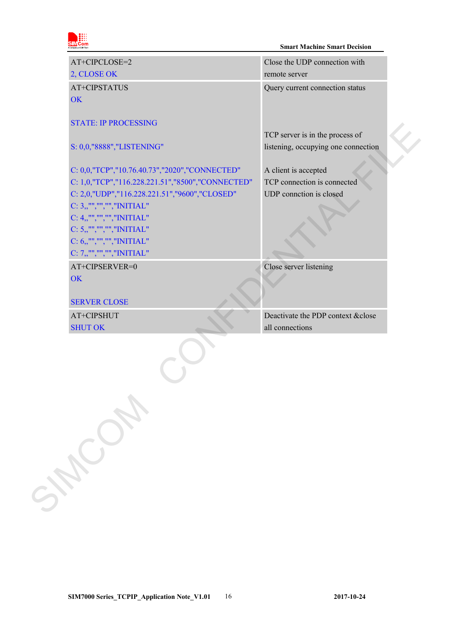

#### **Smart Machine Smart Decision**

| AT+CIPCLOSE=2                                    | Close the UDP connection with       |
|--------------------------------------------------|-------------------------------------|
| 2, CLOSE OK                                      | remote server                       |
| AT+CIPSTATUS                                     | Query current connection status     |
| <b>OK</b>                                        |                                     |
|                                                  |                                     |
| <b>STATE: IP PROCESSING</b>                      |                                     |
|                                                  | TCP server is in the process of     |
| S: 0,0,"8888","LISTENING"                        | listening, occupying one connection |
|                                                  |                                     |
| C: 0,0,"TCP","10.76.40.73","2020","CONNECTED"    | A client is accepted                |
| C: 1,0,"TCP","116.228.221.51","8500","CONNECTED" | TCP connection is connected         |
| C: 2,0,"UDP","116.228.221.51","9600","CLOSED"    | UDP connction is closed             |
| $C: 3,$ ,"","","","INITIAL"                      |                                     |
| C: 4,,"","","","INITIAL"                         |                                     |
| C: 5,,"","","","INITIAL"                         |                                     |
| C: 6,,"","","","INITIAL"                         |                                     |
| $C: 7,$ ,"","","","INITIAL"                      |                                     |
| AT+CIPSERVER=0                                   | Close server listening              |
| <b>OK</b>                                        |                                     |
|                                                  |                                     |
| <b>SERVER CLOSE</b>                              |                                     |
| AT+CIPSHUT                                       | Deactivate the PDP context & close  |
| <b>SHUT OK</b>                                   | all connections                     |
|                                                  |                                     |
|                                                  |                                     |
|                                                  |                                     |
|                                                  |                                     |
|                                                  |                                     |
|                                                  |                                     |
|                                                  |                                     |
|                                                  |                                     |
|                                                  |                                     |
|                                                  |                                     |
|                                                  |                                     |
|                                                  |                                     |
| SALCATION                                        |                                     |
|                                                  |                                     |
|                                                  |                                     |
|                                                  |                                     |
|                                                  |                                     |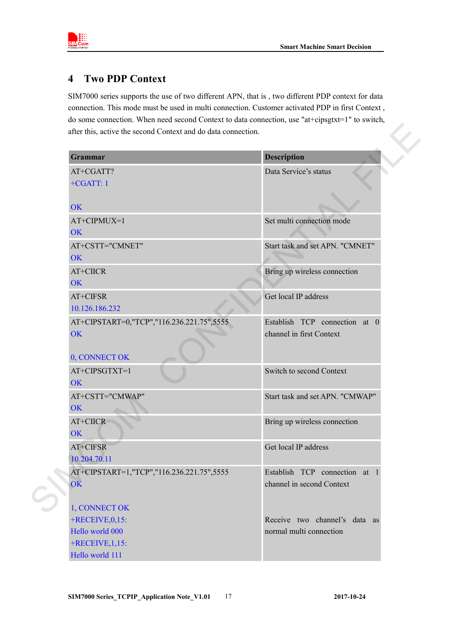

### <span id="page-16-0"></span>**4 Two PDP Context**

SIM7000 series supports the use of two different APN, that is , two different PDP context for data connection. This mode must be used in multi connection. Customer activated PDP in first Context , do some connection. When need second Context to data connection, use "at+cipsgtxt=1" to switch, after this, active the second Context and do data connection.

| Grammar                                   | <b>Description</b>              |
|-------------------------------------------|---------------------------------|
| AT+CGATT?                                 | Data Service's status           |
| $+CGATT:1$                                |                                 |
| <b>OK</b>                                 |                                 |
| AT+CIPMUX=1                               | Set multi connection mode       |
| <b>OK</b>                                 |                                 |
| AT+CSTT="CMNET"                           | Start task and set APN. "CMNET" |
| OK                                        |                                 |
| AT+CIICR                                  | Bring up wireless connection    |
| <b>OK</b>                                 |                                 |
| AT+CIFSR                                  | Get local IP address            |
| 10.126.186.232                            |                                 |
| AT+CIPSTART=0,"TCP","116.236.221.75",5555 | Establish TCP connection at 0   |
| <b>OK</b>                                 | channel in first Context        |
| 0, CONNECT OK                             |                                 |
| AT+CIPSGTXT=1<br><b>OK</b>                | Switch to second Context        |
| AT+CSTT="CMWAP"                           | Start task and set APN. "CMWAP" |
| <b>OK</b>                                 |                                 |
| AT+CIICR                                  | Bring up wireless connection    |
| <b>OK</b>                                 |                                 |
| AT+CIFSR                                  | Get local IP address            |
| 10.204.70.11                              |                                 |
| AT+CIPSTART=1,"TCP","116.236.221.75",5555 | Establish TCP connection at 1   |
| OK                                        | channel in second Context       |
|                                           |                                 |
| 1, CONNECT OK                             |                                 |
| $+$ RECEIVE, 0, 15:                       | Receive two channel's data as   |
| Hello world 000                           | normal multi connection         |
| $+$ RECEIVE, 1, 15:                       |                                 |
| Hello world 111                           |                                 |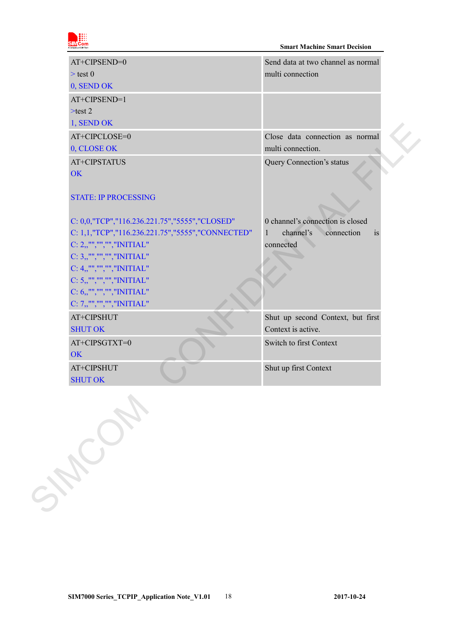

| AT+CIPSEND=0                                            | Send data at two channel as normal            |
|---------------------------------------------------------|-----------------------------------------------|
| $>$ test 0                                              | multi connection                              |
| 0, SEND OK                                              |                                               |
| AT+CIPSEND=1                                            |                                               |
| $>$ test 2                                              |                                               |
| 1, SEND OK                                              |                                               |
| AT+CIPCLOSE=0                                           | Close data connection as normal               |
| 0, CLOSE OK                                             | multi connection.                             |
| AT+CIPSTATUS<br><b>OK</b>                               | Query Connection's status                     |
| <b>STATE: IP PROCESSING</b>                             |                                               |
| C: 0,0,"TCP","116.236.221.75","5555","CLOSED"           | 0 channel's connection is closed              |
| C: 1,1,"TCP","116.236.221.75","5555","CONNECTED"        | channel's<br>connection<br>$\mathbf{1}$<br>1S |
| $C: 2,$ ,"","","","INITIAL"<br>C: 3,,"","","","INITIAL" | connected                                     |
| $C: 4,$ ,"","","","INITIAL"                             |                                               |
| C: 5,,"","","","INITIAL"                                |                                               |
| C: 6,,"","","","INITIAL"                                |                                               |
| $C: 7,$ ,"","","","INITIAL"                             |                                               |
| AT+CIPSHUT                                              | Shut up second Context, but first             |
| <b>SHUT OK</b>                                          | Context is active.                            |
| AT+CIPSGTXT=0<br><b>OK</b>                              | Switch to first Context                       |
| AT+CIPSHUT                                              | Shut up first Context                         |
| Sycamore                                                |                                               |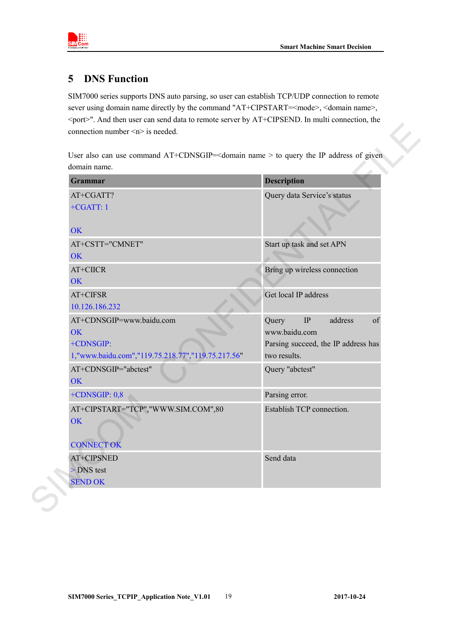

### <span id="page-18-0"></span>**5 DNS Function**

SIM7000 series supports DNS auto parsing, so user can establish TCP/UDP connection to remote sever using domain name directly by the command "AT+CIPSTART=<mode>, <domain name>, <port>". And then user can send data to remote server by AT+CIPSEND. In multi connection, the connection number  $\leq n$  is needed.

| Grammar                                                                                                 | <b>Description</b>                                                                                         |
|---------------------------------------------------------------------------------------------------------|------------------------------------------------------------------------------------------------------------|
| AT+CGATT?<br>$+CGATT:1$<br><b>OK</b>                                                                    | Query data Service's status                                                                                |
| AT+CSTT="CMNET"<br><b>OK</b>                                                                            | Start up task and set APN                                                                                  |
| AT+CIICR<br>OK                                                                                          | Bring up wireless connection                                                                               |
| AT+CIFSR<br>10.126.186.232                                                                              | Get local IP address                                                                                       |
| AT+CDNSGIP=www.baidu.com<br><b>OK</b><br>+CDNSGIP:<br>1,"www.baidu.com","119.75.218.77","119.75.217.56" | Query<br>$\rm IP$<br>address<br>of<br>www.baidu.com<br>Parsing succeed, the IP address has<br>two results. |
| AT+CDNSGIP="abctest"<br>OK                                                                              | Query "abctest"                                                                                            |
| $+CDNSGIP: 0,8$                                                                                         | Parsing error.                                                                                             |
| AT+CIPSTART="TCP","WWW.SIM.COM",80<br>OK<br><b>CONNECT OK</b>                                           | Establish TCP connection.                                                                                  |
| AT+CIPSNED<br>> DNS test<br><b>SEND OK</b>                                                              | Send data                                                                                                  |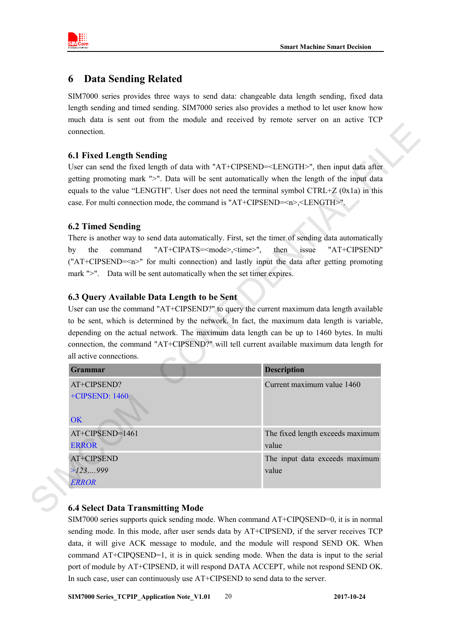

### <span id="page-19-0"></span>**6 Data Sending Related**

SIM7000 series provides three ways to send data: changeable data length sending, fixed data length sending and timed sending. SIM7000 series also provides a method to let user know how much data is sent out from the module and received by remote server on an active TCP connection.

### <span id="page-19-1"></span>**6.1 Fixed Length Sending**

#### <span id="page-19-2"></span>**6.2 Timed Sending**

### <span id="page-19-3"></span>**6.3 Query Available Data Length to be Sent**

| <b>6.1 Fixed Length Sending</b>                                       |                                                                                                                                                                                                                       |
|-----------------------------------------------------------------------|-----------------------------------------------------------------------------------------------------------------------------------------------------------------------------------------------------------------------|
|                                                                       | User can send the fixed length of data with "AT+CIPSEND= <length>", then input data after</length>                                                                                                                    |
|                                                                       | getting promoting mark ">". Data will be sent automatically when the length of the input data                                                                                                                         |
|                                                                       | equals to the value "LENGTH". User does not need the terminal symbol CTRL+Z (0x1a) in this                                                                                                                            |
|                                                                       | case. For multi connection mode, the command is "AT+CIPSEND= <n>,<length>".</length></n>                                                                                                                              |
| <b>6.2 Timed Sending</b>                                              |                                                                                                                                                                                                                       |
|                                                                       | There is another way to send data automatically. First, set the timer of sending data automatically                                                                                                                   |
| the<br>command<br>by                                                  | "AT+CIPATS= <mode>,<time>",<br/>then<br/>"AT+CIPSEND"<br/>issue</time></mode>                                                                                                                                         |
|                                                                       | ("AT+CIPSEND= <n>" for multi connection) and lastly input the data after getting promoting</n>                                                                                                                        |
| mark ">". Data will be sent automatically when the set timer expires. |                                                                                                                                                                                                                       |
|                                                                       |                                                                                                                                                                                                                       |
|                                                                       |                                                                                                                                                                                                                       |
|                                                                       |                                                                                                                                                                                                                       |
| 6.3 Query Available Data Length to be Sent                            |                                                                                                                                                                                                                       |
|                                                                       | User can use the command "AT+CIPSEND?" to query the current maximum data length available                                                                                                                             |
|                                                                       | to be sent, which is determined by the network. In fact, the maximum data length is variable,                                                                                                                         |
|                                                                       |                                                                                                                                                                                                                       |
| all active connections.                                               |                                                                                                                                                                                                                       |
| <b>Grammar</b>                                                        | <b>Description</b>                                                                                                                                                                                                    |
| AT+CIPSEND?                                                           | depending on the actual network. The maximum data length can be up to 1460 bytes. In multi<br>connection, the command "AT+CIPSEND?" will tell current available maximum data length for<br>Current maximum value 1460 |
| +CIPSEND: 1460                                                        |                                                                                                                                                                                                                       |
|                                                                       |                                                                                                                                                                                                                       |
| <b>OK</b>                                                             |                                                                                                                                                                                                                       |
| AT+CIPSEND=1461                                                       |                                                                                                                                                                                                                       |
| <b>ERROR</b>                                                          | value                                                                                                                                                                                                                 |
| AT+CIPSEND                                                            |                                                                                                                                                                                                                       |
| >123999                                                               | The fixed length exceeds maximum<br>The input data exceeds maximum<br>value                                                                                                                                           |

### <span id="page-19-4"></span>**6.4 Select Data Transmitting Mode**

SIM7000 series supports quick sending mode. When command AT+CIPQSEND=0, it is in normal sending mode. In this mode, after user sends data by AT+CIPSEND, if the server receives TCP data, it will give ACK message to module, and the module will respond SEND OK. When command AT+CIPQSEND=1, it is in quick sending mode. When the data is input to the serial port of module by AT+CIPSEND, it will respond DATA ACCEPT, while not respond SEND OK. In such case, user can continuously use AT+CIPSEND to send data to the server.

**SIM7000 Series\_TCPIP\_Application Note\_V1.01** 20 **2017-10-24**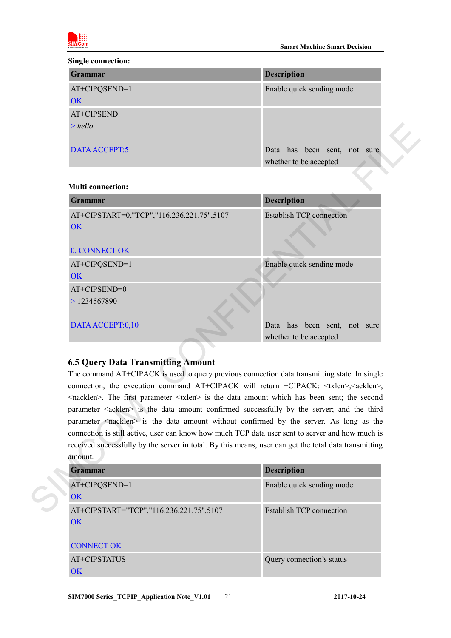

#### **Single connection:**

| Grammar       | <b>Description</b>           |
|---------------|------------------------------|
| AT+CIPQSEND=1 | Enable quick sending mode    |
| OK            |                              |
| AT+CIPSEND    |                              |
| $>$ hello     |                              |
|               |                              |
| DATA ACCEPT:5 | Data has been sent, not sure |
|               | whether to be accepted       |

#### **Multi connection:**

| $>$ hello                                                                                                                                                                                                                                                                                                                                                                                                                                                                                                                                                                                                                                                                                                                                                                                               |                                                        |
|---------------------------------------------------------------------------------------------------------------------------------------------------------------------------------------------------------------------------------------------------------------------------------------------------------------------------------------------------------------------------------------------------------------------------------------------------------------------------------------------------------------------------------------------------------------------------------------------------------------------------------------------------------------------------------------------------------------------------------------------------------------------------------------------------------|--------------------------------------------------------|
| DATA ACCEPT:5                                                                                                                                                                                                                                                                                                                                                                                                                                                                                                                                                                                                                                                                                                                                                                                           | Data has been sent, not sure<br>whether to be accepted |
| <b>Multi</b> connection:                                                                                                                                                                                                                                                                                                                                                                                                                                                                                                                                                                                                                                                                                                                                                                                |                                                        |
| <b>Grammar</b>                                                                                                                                                                                                                                                                                                                                                                                                                                                                                                                                                                                                                                                                                                                                                                                          | <b>Description</b>                                     |
| AT+CIPSTART=0,"TCP","116.236.221.75",5107<br><b>OK</b>                                                                                                                                                                                                                                                                                                                                                                                                                                                                                                                                                                                                                                                                                                                                                  | <b>Establish TCP connection</b>                        |
| 0, CONNECT OK                                                                                                                                                                                                                                                                                                                                                                                                                                                                                                                                                                                                                                                                                                                                                                                           |                                                        |
| AT+CIPQSEND=1<br><b>OK</b>                                                                                                                                                                                                                                                                                                                                                                                                                                                                                                                                                                                                                                                                                                                                                                              | Enable quick sending mode                              |
| AT+CIPSEND=0<br>>1234567890                                                                                                                                                                                                                                                                                                                                                                                                                                                                                                                                                                                                                                                                                                                                                                             |                                                        |
| DATA ACCEPT:0,10                                                                                                                                                                                                                                                                                                                                                                                                                                                                                                                                                                                                                                                                                                                                                                                        | Data has been sent, not sure<br>whether to be accepted |
| <b>6.5 Query Data Transmitting Amount</b><br>The command AT+CIPACK is used to query previous connection data transmitting state. In single<br>connection, the execution command AT+CIPACK will return +CIPACK: <txlen>,<acklen>,<br/><nacklen>. The first parameter <txlen> is the data amount which has been sent; the second<br/>parameter <acklen> is the data amount confirmed successfully by the server; and the third<br/>parameter <nacklen> is the data amount without confirmed by the server. As long as the<br/>connection is still active, user can know how much TCP data user sent to server and how much is<br/>received successfully by the server in total. By this means, user can get the total data transmitting<br/>amount.</nacklen></acklen></txlen></nacklen></acklen></txlen> |                                                        |
| <b>Grammar</b>                                                                                                                                                                                                                                                                                                                                                                                                                                                                                                                                                                                                                                                                                                                                                                                          | <b>Description</b>                                     |
| AT+CIPQSEND=1<br><b>OK</b>                                                                                                                                                                                                                                                                                                                                                                                                                                                                                                                                                                                                                                                                                                                                                                              | Enable quick sending mode                              |
| AT+CIPSTART="TCP","116.236.221.75",5107                                                                                                                                                                                                                                                                                                                                                                                                                                                                                                                                                                                                                                                                                                                                                                 | <b>Establish TCP</b> connection                        |

### <span id="page-20-0"></span>**6.5 Query Data Transmitting Amount**

| Grammar                                 | <b>Description</b>        |
|-----------------------------------------|---------------------------|
| AT+CIPQSEND=1                           | Enable quick sending mode |
| OK                                      |                           |
| AT+CIPSTART="TCP","116.236.221.75",5107 | Establish TCP connection  |
| <b>OK</b>                               |                           |
|                                         |                           |
| <b>CONNECT OK</b>                       |                           |
| AT+CIPSTATUS                            | Query connection's status |
| <b>OK</b>                               |                           |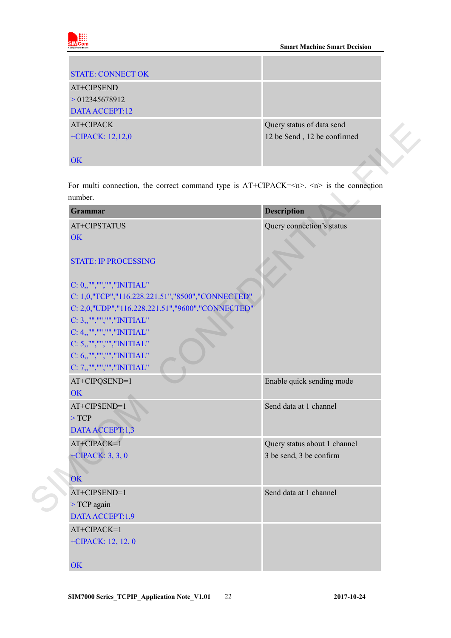

| <b>STATE: CONNECT OK</b> |                             |
|--------------------------|-----------------------------|
| AT+CIPSEND               |                             |
| > 012345678912           |                             |
| DATA ACCEPT:12           |                             |
| AT+CIPACK                | Query status of data send   |
| +CIPACK: $12,12,0$       | 12 be Send, 12 be confirmed |
|                          |                             |
| OK                       |                             |

| For multi connection, the correct command type is $AT+CIPACK=\langle n \rangle$ and $\langle n \rangle$ is the connection |
|---------------------------------------------------------------------------------------------------------------------------|
|                                                                                                                           |
| <b>Description</b>                                                                                                        |
| Query connection's status                                                                                                 |
|                                                                                                                           |
|                                                                                                                           |
|                                                                                                                           |
|                                                                                                                           |
|                                                                                                                           |
|                                                                                                                           |
|                                                                                                                           |
|                                                                                                                           |
|                                                                                                                           |
|                                                                                                                           |
|                                                                                                                           |
|                                                                                                                           |
| Enable quick sending mode                                                                                                 |
|                                                                                                                           |
| Send data at 1 channel                                                                                                    |
|                                                                                                                           |
|                                                                                                                           |
| Query status about 1 channel                                                                                              |
| 3 be send, 3 be confirm                                                                                                   |
|                                                                                                                           |
|                                                                                                                           |
| Send data at 1 channel                                                                                                    |
|                                                                                                                           |
|                                                                                                                           |
|                                                                                                                           |
|                                                                                                                           |
|                                                                                                                           |
|                                                                                                                           |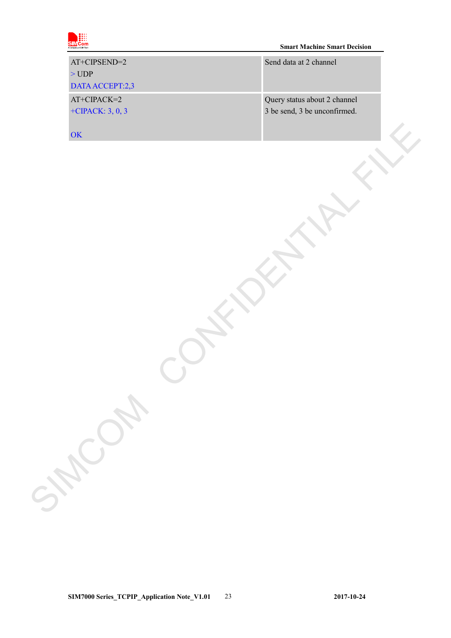

| AT+CIPSEND=2<br>$>$ UDP<br>DATA ACCEPT:2,3 | Send data at 2 channel                                       |  |
|--------------------------------------------|--------------------------------------------------------------|--|
| AT+CIPACK=2<br>+CIPACK: $3, 0, 3$          | Query status about 2 channel<br>3 be send, 3 be unconfirmed. |  |
| OK                                         |                                                              |  |
|                                            |                                                              |  |
|                                            |                                                              |  |
|                                            |                                                              |  |
|                                            |                                                              |  |
|                                            |                                                              |  |
|                                            |                                                              |  |
|                                            |                                                              |  |
|                                            |                                                              |  |
|                                            |                                                              |  |
|                                            |                                                              |  |
|                                            |                                                              |  |
| SHOWN                                      |                                                              |  |
|                                            |                                                              |  |
|                                            |                                                              |  |
|                                            |                                                              |  |
|                                            |                                                              |  |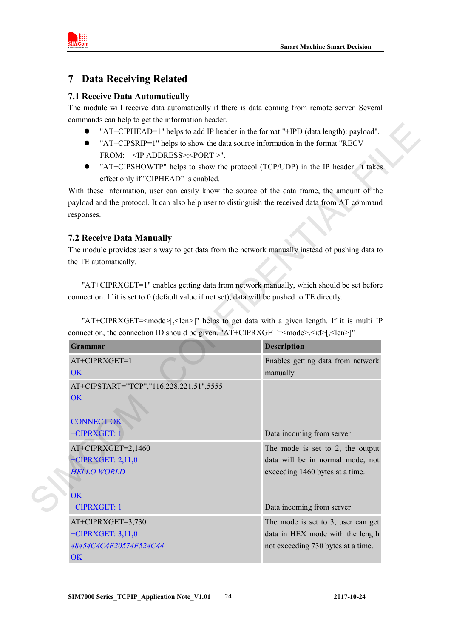

### <span id="page-23-0"></span>**7 Data Receiving Related**

### <span id="page-23-1"></span>**7.1 Receive Data Automatically**

The module will receive data automatically if there is data coming from remote server. Several commands can help to get the information header.

- "AT+CIPHEAD=1" helps to add IP header in the format "+IPD (data length): payload".
- "AT+CIPSRIP=1" helps to show the data source information in the format "RECV FROM: <IP ADDRESS>:<PORT >".
- "AT+CIPSHOWTP" helps to show the protocol (TCP/UDP) in the IP header. It takes effect only if "CIPHEAD" is enabled.

#### <span id="page-23-2"></span>**7.2 Receive Data Manually**

| "AT+CIPHEAD=1" helps to add IP header in the format "+IPD (data length): payload".<br>"AT+CIPSRIP=1" helps to show the data source information in the format "RECV<br>FROM: <ip address="">:<port>".<br/>"AT+CIPSHOWTP" helps to show the protocol (TCP/UDP) in the IP header. It takes<br/><math>\bullet</math><br/>effect only if "CIPHEAD" is enabled.<br/>With these information, user can easily know the source of the data frame, the amount of the<br/>payload and the protocol. It can also help user to distinguish the received data from AT command<br/>responses.</port></ip> |                                                                                                              |  |
|--------------------------------------------------------------------------------------------------------------------------------------------------------------------------------------------------------------------------------------------------------------------------------------------------------------------------------------------------------------------------------------------------------------------------------------------------------------------------------------------------------------------------------------------------------------------------------------------|--------------------------------------------------------------------------------------------------------------|--|
| <b>7.2 Receive Data Manually</b><br>The module provides user a way to get data from the network manually instead of pushing data to<br>the TE automatically.                                                                                                                                                                                                                                                                                                                                                                                                                               |                                                                                                              |  |
| "AT+CIPRXGET=1" enables getting data from network manually, which should be set before<br>connection. If it is set to 0 (default value if not set), data will be pushed to TE directly.<br>"AT+CIPRXGET= <mode>[,<len>]" helps to get data with a given length. If it is multi IP</len></mode>                                                                                                                                                                                                                                                                                             |                                                                                                              |  |
| connection, the connection ID should be given. "AT+CIPRXGET= <mode>,<id>[,<len>]"<br/>Grammar</len></id></mode>                                                                                                                                                                                                                                                                                                                                                                                                                                                                            |                                                                                                              |  |
| AT+CIPRXGET=1                                                                                                                                                                                                                                                                                                                                                                                                                                                                                                                                                                              | <b>Description</b><br>Enables getting data from network                                                      |  |
| <b>OK</b>                                                                                                                                                                                                                                                                                                                                                                                                                                                                                                                                                                                  | manually                                                                                                     |  |
| AT+CIPSTART="TCP","116.228.221.51",5555<br>OK<br><b>CONNECT OK</b>                                                                                                                                                                                                                                                                                                                                                                                                                                                                                                                         |                                                                                                              |  |
| +CIPRXGET: 1                                                                                                                                                                                                                                                                                                                                                                                                                                                                                                                                                                               | Data incoming from server                                                                                    |  |
| AT+CIPRXGET=2,1460<br>+CIPRXGET: 2,11,0<br><b>HELLO WORLD</b>                                                                                                                                                                                                                                                                                                                                                                                                                                                                                                                              | The mode is set to $2$ , the output<br>data will be in normal mode, not<br>exceeding 1460 bytes at a time.   |  |
| OK<br>+CIPRXGET: 1                                                                                                                                                                                                                                                                                                                                                                                                                                                                                                                                                                         | Data incoming from server                                                                                    |  |
| AT+CIPRXGET=3,730<br>+CIPRXGET: 3,11,0<br>48454C4C4F20574F524C44                                                                                                                                                                                                                                                                                                                                                                                                                                                                                                                           | The mode is set to 3, user can get<br>data in HEX mode with the length<br>not exceeding 730 bytes at a time. |  |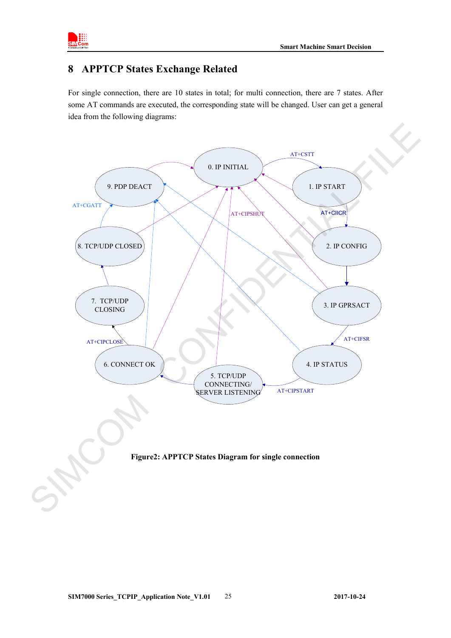

### <span id="page-24-0"></span>**8 APPTCP States Exchange Related**

For single connection, there are 10 states in total; for multi connection, there are 7 states. After some AT commands are executed, the corresponding state will be changed. User can get a general idea from the following diagrams:

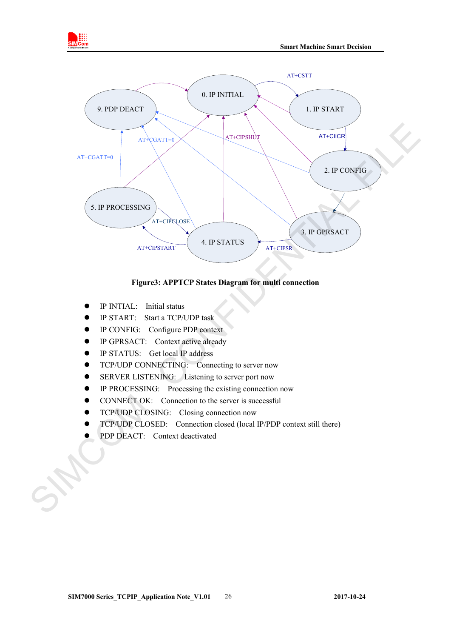



#### **Figure3: APPTCP States Diagram for multi connection**

- IP INTIAL: Initial status
- IP START: Start a TCP/UDP task
- IP CONFIG: Configure PDP context
- IP GPRSACT: Context active already
- IP STATUS: Get local IP address
- TCP/UDP CONNECTING: Connecting to server now
- SERVER LISTENING: Listening to server port now
- **•** IP PROCESSING: Processing the existing connection now
- CONNECT OK: Connection to the server is successful
- TCP/UDP CLOSING: Closing connection now
- TCP/UDP CLOSED: Connection closed (local IP/PDP context still there)
- PDP DEACT: Context deactivated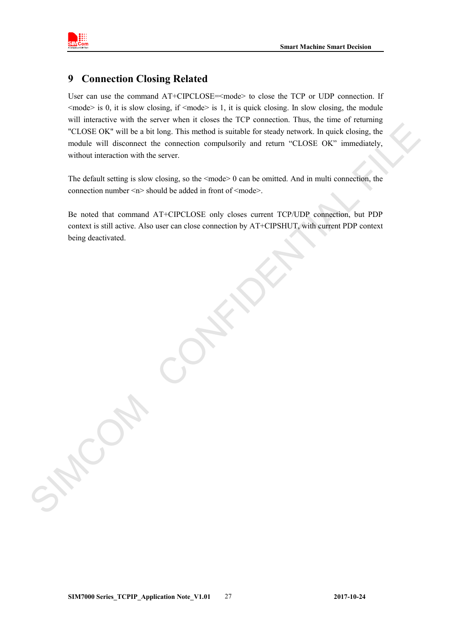

### <span id="page-26-0"></span>**9 Connection Closing Related**

User can use the command AT+CIPCLOSE=<mode> to close the TCP or UDP connection. If  $\leq$  mode> is 0, it is slow closing, if  $\leq$  mode> is 1, it is quick closing. In slow closing, the module will interactive with the server when it closes the TCP connection. Thus, the time of returning "CLOSE OK" will be a bit long. This method is suitable for steady network. In quick closing, the module will disconnect the connection compulsorily and return "CLOSE OK" immediately, without interaction with the server. CLOSE OK" will be a bit long. This method is suitable for steady network. In quick closing, the model will disconnect the connection compulsorily and return "CLOSE OK" inmediately, whilout interaction with the server.<br>
Th

The default setting is slow closing, so the  $\leq$  mode $\geq$  0 can be omitted. And in multi connection, the connection number  $\langle n \rangle$  should be added in front of  $\langle \text{mode} \rangle$ .

Be noted that command AT+CIPCLOSE only closes current TCP/UDP connection, but PDP context is still active. Also user can close connection by AT+CIPSHUT, with current PDP context being deactivated.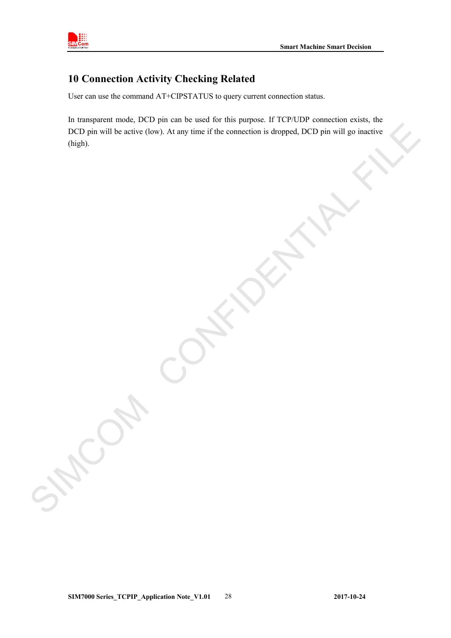

### <span id="page-27-0"></span>**10 Connection Activity Checking Related**

User can use the command AT+CIPSTATUS to query current connection status.

In transparent mode, DCD pin can be used for this purpose. If TCP/UDP connection exists, the DCD pin will be active (low). At any time if the connection is dropped, DCD pin will go inactive (high). STRING CONFIDENTIAL FILE<br>
CONFIDENTIAL FILE<br>
CONFIDENTIAL FILE<br>
CONFIDENTIAL FILE<br>
CONFIDENTIAL FILE<br>
CONFIDENTIAL FILE<br>
CONFIDENTIAL FILE<br>
CONFIDENTIAL FILE<br>
CONFIDENTIAL FILE<br>
CONFIDENTIAL FILE<br>
CONFIDENTIAL FILE<br>
CONFID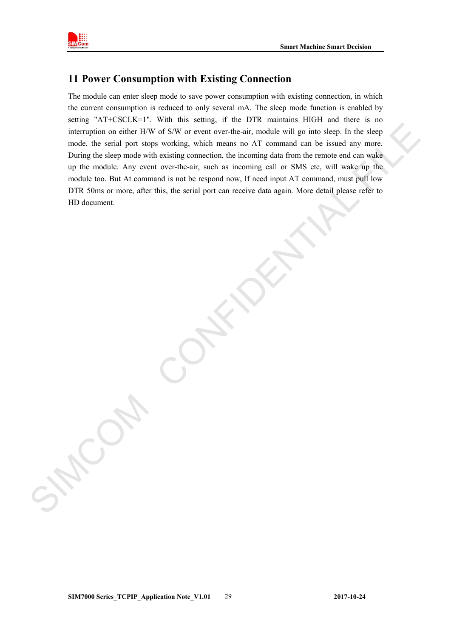

### <span id="page-28-0"></span>**11 Power Consumption with Existing Connection**

The module can enter sleep mode to save power consumption with existing connection, in which the current consumption is reduced to only several mA. The sleep mode function is enabled by setting "AT+CSCLK=1". With this setting, if the DTR maintains HIGH and there is no interruption on either H/W of S/W or event over-the-air, module will go into sleep. In the sleep mode, the serial port stops working, which means no AT command can be issued any more. During the sleep mode with existing connection, the incoming data from the remote end can wake up the module. Any event over-the-air, such as incoming call or SMS etc, will wake up the module too. But At command is not be respond now, If need input AT command, must pull low DTR 50ms or more, after this, the serial port can receive data again. More detail please refer to HD document. The peak persistent on effect the state of the state of the state of the state of the state of the state of the state of the state of the state of the state of the state of the state of the state of the state of the state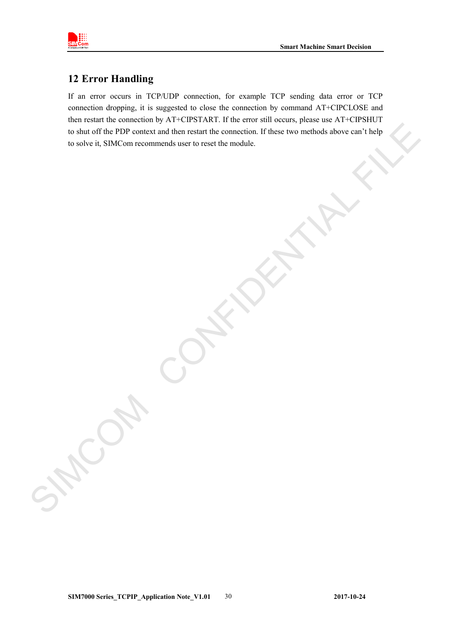

### <span id="page-29-0"></span>**12 Error Handling**

If an error occurs in TCP/UDP connection, for example TCP sending data error or TCP connection dropping, it is suggested to close the connection by command AT+CIPCLOSE and then restart the connection by AT+CIPSTART. If the error still occurs, please use AT+CIPSHUT to shut off the PDP context and then restart the connection. If these two methods above can't help to solve it, SIMCom recommends user to reset the module. In shut of the PDF context and then resumments insert to connection. If these two methods above earn there to solve it, SIMCom recommends user to reset the module.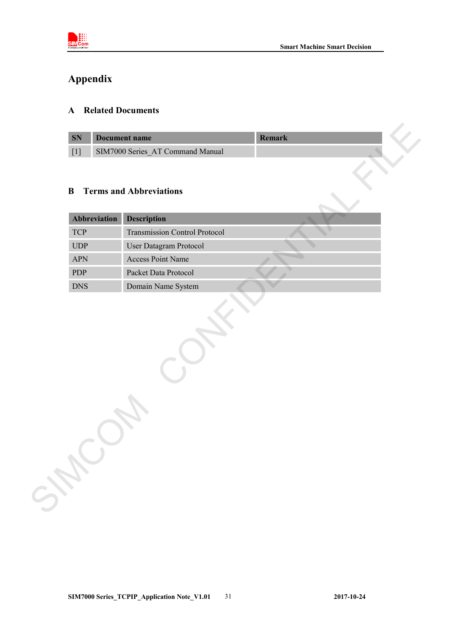

# <span id="page-30-0"></span>**Appendix**

### <span id="page-30-1"></span>**A Related Documents**

| <b>SN</b> | Document name                    |  |
|-----------|----------------------------------|--|
|           | SIM7000 Series AT Command Manual |  |

### <span id="page-30-2"></span>**B Terms and Abbreviations**

| $\bf{B}$     | <b>Terms and Abbreviations</b>       |  |
|--------------|--------------------------------------|--|
| Abbreviation | <b>Description</b>                   |  |
| <b>TCP</b>   | <b>Transmission Control Protocol</b> |  |
| UDP          | User Datagram Protocol               |  |
| <b>APN</b>   | <b>Access Point Name</b>             |  |
| PDP          | Packet Data Protocol                 |  |
|              | Domain Name System                   |  |
| <b>DNS</b>   |                                      |  |
|              |                                      |  |
|              |                                      |  |

**SIM7000 Series\_TCPIP\_Application Note\_V1.01** 31 **2017-10-24**